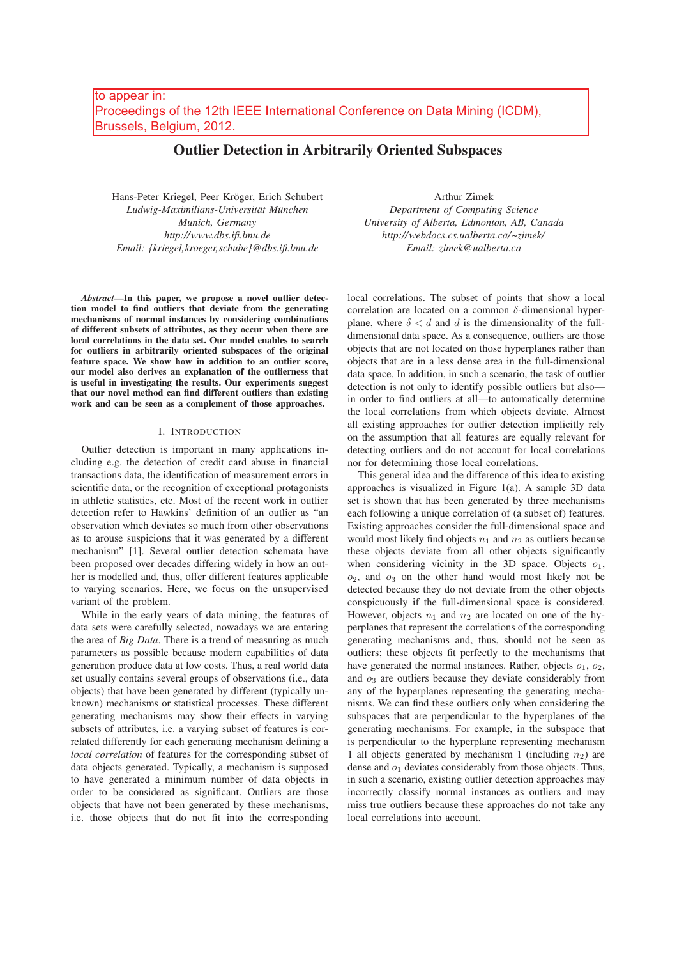# Outlier Detection in Arbitrarily Oriented Subspaces

Hans-Peter Kriegel, Peer Kröger, Erich Schubert *Ludwig-Maximilians-Universität München Munich, Germany http://www.dbs.ifi.lmu.de Email: {kriegel,kroeger,schube}@dbs.ifi.lmu.de*

*Abstract*—In this paper, we propose a novel outlier detection model to find outliers that deviate from the generating mechanisms of normal instances by considering combinations of different subsets of attributes, as they occur when there are local correlations in the data set. Our model enables to search for outliers in arbitrarily oriented subspaces of the original feature space. We show how in addition to an outlier score, our model also derives an explanation of the outlierness that is useful in investigating the results. Our experiments suggest that our novel method can find different outliers than existing work and can be seen as a complement of those approaches.

### I. INTRODUCTION

Outlier detection is important in many applications including e.g. the detection of credit card abuse in financial transactions data, the identification of measurement errors in scientific data, or the recognition of exceptional protagonists in athletic statistics, etc. Most of the recent work in outlier detection refer to Hawkins' definition of an outlier as "an observation which deviates so much from other observations as to arouse suspicions that it was generated by a different mechanism" [1]. Several outlier detection schemata have been proposed over decades differing widely in how an outlier is modelled and, thus, offer different features applicable to varying scenarios. Here, we focus on the unsupervised variant of the problem.

While in the early years of data mining, the features of data sets were carefully selected, nowadays we are entering the area of *Big Data*. There is a trend of measuring as much parameters as possible because modern capabilities of data generation produce data at low costs. Thus, a real world data set usually contains several groups of observations (i.e., data objects) that have been generated by different (typically unknown) mechanisms or statistical processes. These different generating mechanisms may show their effects in varying subsets of attributes, i.e. a varying subset of features is correlated differently for each generating mechanism defining a *local correlation* of features for the corresponding subset of data objects generated. Typically, a mechanism is supposed to have generated a minimum number of data objects in order to be considered as significant. Outliers are those objects that have not been generated by these mechanisms, i.e. those objects that do not fit into the corresponding

Arthur Zimek *Department of Computing Science University of Alberta, Edmonton, AB, Canada http://webdocs.cs.ualberta.ca/~zimek/ Email: zimek@ualberta.ca*

local correlations. The subset of points that show a local correlation are located on a common  $\delta$ -dimensional hyperplane, where  $\delta < d$  and d is the dimensionality of the fulldimensional data space. As a consequence, outliers are those objects that are not located on those hyperplanes rather than objects that are in a less dense area in the full-dimensional data space. In addition, in such a scenario, the task of outlier detection is not only to identify possible outliers but also in order to find outliers at all—to automatically determine the local correlations from which objects deviate. Almost all existing approaches for outlier detection implicitly rely on the assumption that all features are equally relevant for detecting outliers and do not account for local correlations nor for determining those local correlations.

This general idea and the difference of this idea to existing approaches is visualized in Figure 1(a). A sample 3D data set is shown that has been generated by three mechanisms each following a unique correlation of (a subset of) features. Existing approaches consider the full-dimensional space and would most likely find objects  $n_1$  and  $n_2$  as outliers because these objects deviate from all other objects significantly when considering vicinity in the 3D space. Objects  $o_1$ ,  $o_2$ , and  $o_3$  on the other hand would most likely not be detected because they do not deviate from the other objects conspicuously if the full-dimensional space is considered. However, objects  $n_1$  and  $n_2$  are located on one of the hyperplanes that represent the correlations of the corresponding generating mechanisms and, thus, should not be seen as outliers; these objects fit perfectly to the mechanisms that have generated the normal instances. Rather, objects  $o_1$ ,  $o_2$ , and  $o_3$  are outliers because they deviate considerably from any of the hyperplanes representing the generating mechanisms. We can find these outliers only when considering the subspaces that are perpendicular to the hyperplanes of the generating mechanisms. For example, in the subspace that is perpendicular to the hyperplane representing mechanism 1 all objects generated by mechanism 1 (including  $n_2$ ) are dense and  $o_1$  deviates considerably from those objects. Thus, in such a scenario, existing outlier detection approaches may incorrectly classify normal instances as outliers and may miss true outliers because these approaches do not take any local correlations into account.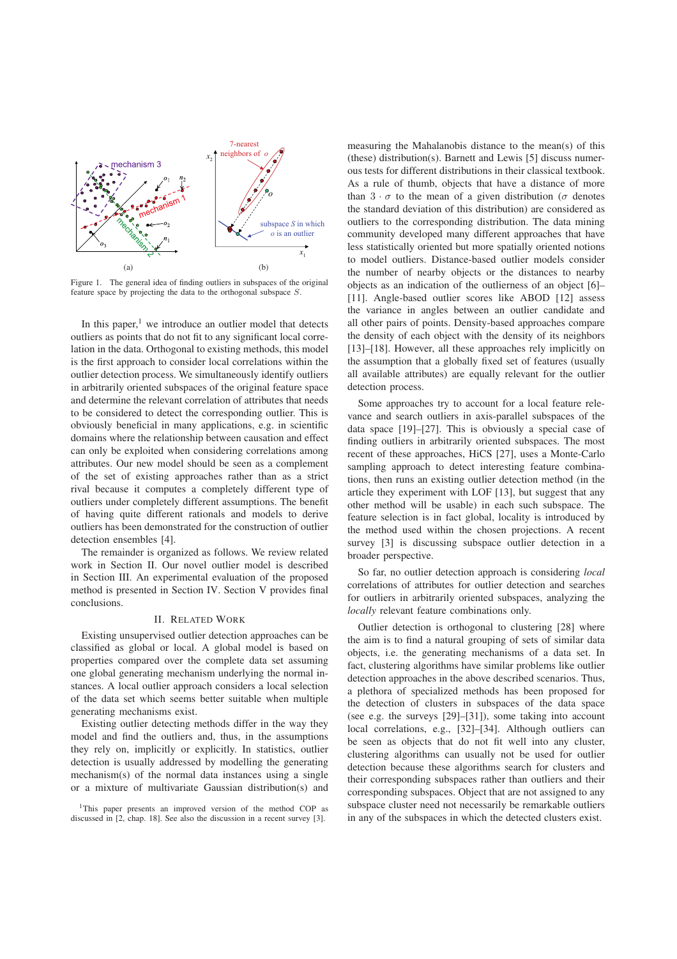

Figure 1. The general idea of finding outliers in subspaces of the original feature space by projecting the data to the orthogonal subspace S.

In this paper, $1$  we introduce an outlier model that detects outliers as points that do not fit to any significant local correlation in the data. Orthogonal to existing methods, this model is the first approach to consider local correlations within the outlier detection process. We simultaneously identify outliers in arbitrarily oriented subspaces of the original feature space and determine the relevant correlation of attributes that needs to be considered to detect the corresponding outlier. This is obviously beneficial in many applications, e.g. in scientific domains where the relationship between causation and effect can only be exploited when considering correlations among attributes. Our new model should be seen as a complement of the set of existing approaches rather than as a strict rival because it computes a completely different type of outliers under completely different assumptions. The benefit of having quite different rationals and models to derive outliers has been demonstrated for the construction of outlier detection ensembles [4].

The remainder is organized as follows. We review related work in Section II. Our novel outlier model is described in Section III. An experimental evaluation of the proposed method is presented in Section IV. Section V provides final conclusions.

### II. RELATED WORK

Existing unsupervised outlier detection approaches can be classified as global or local. A global model is based on properties compared over the complete data set assuming one global generating mechanism underlying the normal instances. A local outlier approach considers a local selection of the data set which seems better suitable when multiple generating mechanisms exist.

Existing outlier detecting methods differ in the way they model and find the outliers and, thus, in the assumptions they rely on, implicitly or explicitly. In statistics, outlier detection is usually addressed by modelling the generating mechanism(s) of the normal data instances using a single or a mixture of multivariate Gaussian distribution(s) and

<sup>1</sup>This paper presents an improved version of the method COP as discussed in [2, chap. 18]. See also the discussion in a recent survey [3].

measuring the Mahalanobis distance to the mean(s) of this (these) distribution(s). Barnett and Lewis [5] discuss numerous tests for different distributions in their classical textbook. As a rule of thumb, objects that have a distance of more than  $3 \cdot \sigma$  to the mean of a given distribution ( $\sigma$  denotes the standard deviation of this distribution) are considered as outliers to the corresponding distribution. The data mining community developed many different approaches that have less statistically oriented but more spatially oriented notions to model outliers. Distance-based outlier models consider the number of nearby objects or the distances to nearby objects as an indication of the outlierness of an object [6]– [11]. Angle-based outlier scores like ABOD [12] assess the variance in angles between an outlier candidate and all other pairs of points. Density-based approaches compare the density of each object with the density of its neighbors [13]–[18]. However, all these approaches rely implicitly on the assumption that a globally fixed set of features (usually all available attributes) are equally relevant for the outlier detection process.

Some approaches try to account for a local feature relevance and search outliers in axis-parallel subspaces of the data space [19]–[27]. This is obviously a special case of finding outliers in arbitrarily oriented subspaces. The most recent of these approaches, HiCS [27], uses a Monte-Carlo sampling approach to detect interesting feature combinations, then runs an existing outlier detection method (in the article they experiment with LOF [13], but suggest that any other method will be usable) in each such subspace. The feature selection is in fact global, locality is introduced by the method used within the chosen projections. A recent survey [3] is discussing subspace outlier detection in a broader perspective.

So far, no outlier detection approach is considering *local* correlations of attributes for outlier detection and searches for outliers in arbitrarily oriented subspaces, analyzing the *locally* relevant feature combinations only.

Outlier detection is orthogonal to clustering [28] where the aim is to find a natural grouping of sets of similar data objects, i.e. the generating mechanisms of a data set. In fact, clustering algorithms have similar problems like outlier detection approaches in the above described scenarios. Thus, a plethora of specialized methods has been proposed for the detection of clusters in subspaces of the data space (see e.g. the surveys [29]–[31]), some taking into account local correlations, e.g., [32]–[34]. Although outliers can be seen as objects that do not fit well into any cluster, clustering algorithms can usually not be used for outlier detection because these algorithms search for clusters and their corresponding subspaces rather than outliers and their corresponding subspaces. Object that are not assigned to any subspace cluster need not necessarily be remarkable outliers in any of the subspaces in which the detected clusters exist.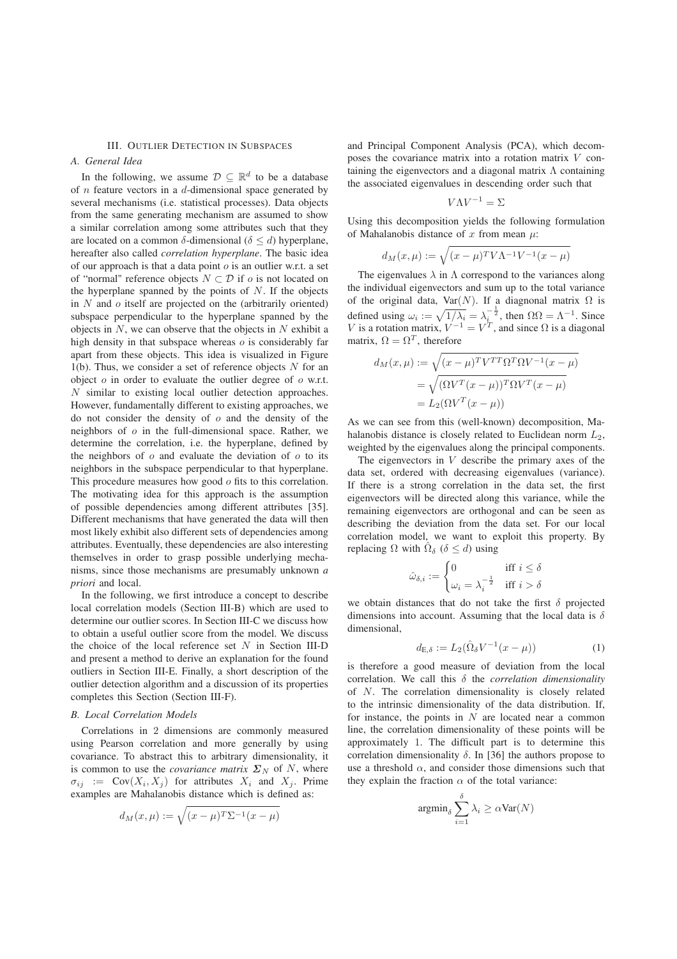## III. OUTLIER DETECTION IN SUBSPACES

## *A. General Idea*

In the following, we assume  $\mathcal{D} \subset \mathbb{R}^d$  to be a database of  $n$  feature vectors in a  $d$ -dimensional space generated by several mechanisms (i.e. statistical processes). Data objects from the same generating mechanism are assumed to show a similar correlation among some attributes such that they are located on a common  $\delta$ -dimensional ( $\delta \le d$ ) hyperplane, hereafter also called *correlation hyperplane*. The basic idea of our approach is that a data point o is an outlier w.r.t. a set of "normal" reference objects  $N \subset \mathcal{D}$  if  $o$  is not located on the hyperplane spanned by the points of  $N$ . If the objects in  $N$  and  $o$  itself are projected on the (arbitrarily oriented) subspace perpendicular to the hyperplane spanned by the objects in  $N$ , we can observe that the objects in  $N$  exhibit a high density in that subspace whereas  $\sigma$  is considerably far apart from these objects. This idea is visualized in Figure 1(b). Thus, we consider a set of reference objects  $N$  for an object  $o$  in order to evaluate the outlier degree of  $o$  w.r.t. N similar to existing local outlier detection approaches. However, fundamentally different to existing approaches, we do not consider the density of  $o$  and the density of the neighbors of  $o$  in the full-dimensional space. Rather, we determine the correlation, i.e. the hyperplane, defined by the neighbors of  $\sigma$  and evaluate the deviation of  $\sigma$  to its neighbors in the subspace perpendicular to that hyperplane. This procedure measures how good  $o$  fits to this correlation. The motivating idea for this approach is the assumption of possible dependencies among different attributes [35]. Different mechanisms that have generated the data will then most likely exhibit also different sets of dependencies among attributes. Eventually, these dependencies are also interesting themselves in order to grasp possible underlying mechanisms, since those mechanisms are presumably unknown *a priori* and local.

In the following, we first introduce a concept to describe local correlation models (Section III-B) which are used to determine our outlier scores. In Section III-C we discuss how to obtain a useful outlier score from the model. We discuss the choice of the local reference set  $N$  in Section III-D and present a method to derive an explanation for the found outliers in Section III-E. Finally, a short description of the outlier detection algorithm and a discussion of its properties completes this Section (Section III-F).

### *B. Local Correlation Models*

Correlations in 2 dimensions are commonly measured using Pearson correlation and more generally by using covariance. To abstract this to arbitrary dimensionality, it is common to use the *covariance matrix*  $\Sigma_N$  of N, where  $\sigma_{ij}$  := Cov $(X_i, X_j)$  for attributes  $X_i$  and  $X_j$ . Prime examples are Mahalanobis distance which is defined as:

$$
d_M(x,\mu) := \sqrt{(x-\mu)^T \Sigma^{-1} (x-\mu)}
$$

and Principal Component Analysis (PCA), which decomposes the covariance matrix into a rotation matrix V containing the eigenvectors and a diagonal matrix  $\Lambda$  containing the associated eigenvalues in descending order such that

$$
V\Lambda V^{-1} = \Sigma
$$

Using this decomposition yields the following formulation of Mahalanobis distance of x from mean  $\mu$ :

$$
d_M(x,\mu):=\sqrt{(x-\mu)^TV\Lambda^{-1}V^{-1}(x-\mu)}
$$

The eigenvalues  $\lambda$  in  $\Lambda$  correspond to the variances along the individual eigenvectors and sum up to the total variance of the original data,  $Var(N)$ . If a diagnonal matrix  $\Omega$  is defined using  $\omega_i := \sqrt{1/\lambda_i} = \lambda_i^{-\frac{1}{2}}$ , then  $\Omega \Omega = \Lambda^{-1}$ . Since *V* is a protation matrix  $V^{-1} - V^T$  and since *O* is a diagonal V is a rotation matrix,  $V^{-1} = V^{T}$ , and since  $\Omega$  is a diagonal matrix,  $\Omega = \Omega^{T}$ , therefore matrix,  $\Omega = \Omega^T$ , therefore

$$
d_M(x,\mu) := \sqrt{(x-\mu)^T V^{TT} \Omega^T \Omega V^{-1} (x-\mu)}
$$
  
= 
$$
\sqrt{(\Omega V^T (x-\mu))^T \Omega V^T (x-\mu)}
$$
  
= 
$$
L_2(\Omega V^T (x-\mu))
$$

As we can see from this (well-known) decomposition, Mahalanobis distance is closely related to Euclidean norm  $L_2$ , weighted by the eigenvalues along the principal components.

The eigenvectors in V describe the primary axes of the data set, ordered with decreasing eigenvalues (variance). If there is a strong correlation in the data set, the first eigenvectors will be directed along this variance, while the remaining eigenvectors are orthogonal and can be seen as describing the deviation from the data set. For our local correlation model, we want to exploit this property. By replacing Ω with  $\Omega_{\delta}$  ( $\delta \le d$ ) using

$$
\hat{\omega}_{\delta,i} := \begin{cases} 0 & \text{if } i \leq \delta \\ \omega_i = \lambda_i^{-\frac{1}{2}} & \text{if } i > \delta \end{cases}
$$

we obtain distances that do not take the first  $\delta$  projected dimensions into account. Assuming that the local data is  $\delta$ dimensional,

$$
d_{E,\delta} := L_2(\hat{\Omega}_{\delta} V^{-1}(x - \mu))
$$
 (1)

is therefore a good measure of deviation from the local correlation. We call this δ the *correlation dimensionality* of N. The correlation dimensionality is closely related to the intrinsic dimensionality of the data distribution. If, for instance, the points in  $N$  are located near a common line, the correlation dimensionality of these points will be approximately 1. The difficult part is to determine this correlation dimensionality  $\delta$ . In [36] the authors propose to use a threshold  $\alpha$ , and consider those dimensions such that they explain the fraction  $\alpha$  of the total variance:

$$
\operatorname{argmin}_{\delta} \sum_{i=1}^{\delta} \lambda_i \geq \alpha \text{Var}(N)
$$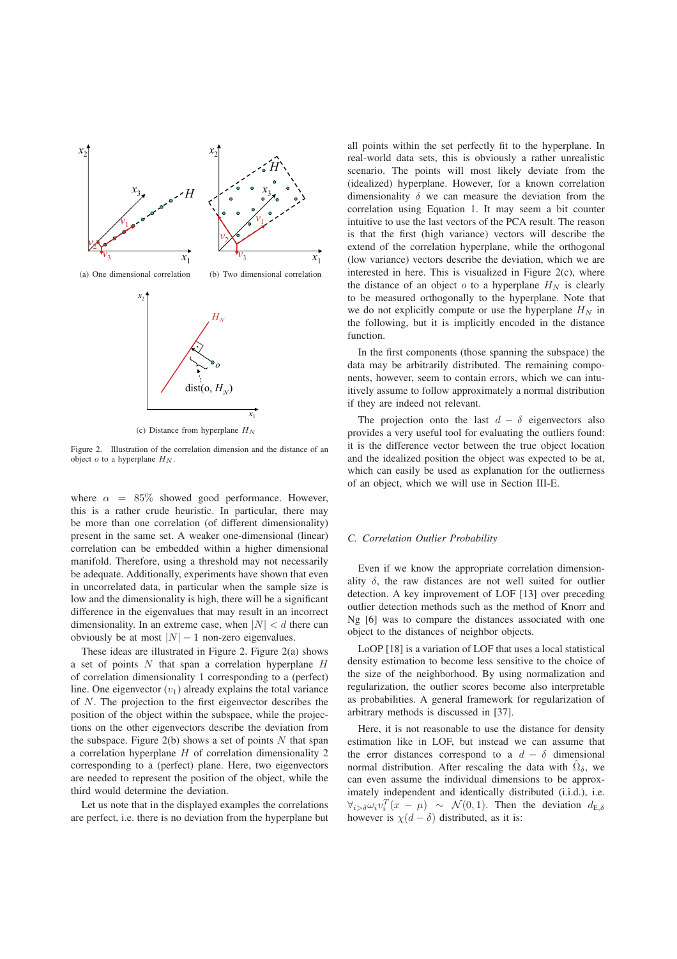

(c) Distance from hyperplane  $H_N$ 

Figure 2. Illustration of the correlation dimension and the distance of an object  $o$  to a hyperplane  $H_N$ .

where  $\alpha = 85\%$  showed good performance. However, this is a rather crude heuristic. In particular, there may be more than one correlation (of different dimensionality) present in the same set. A weaker one-dimensional (linear) correlation can be embedded within a higher dimensional manifold. Therefore, using a threshold may not necessarily be adequate. Additionally, experiments have shown that even in uncorrelated data, in particular when the sample size is low and the dimensionality is high, there will be a significant difference in the eigenvalues that may result in an incorrect dimensionality. In an extreme case, when  $|N| < d$  there can obviously be at most  $|N| - 1$  non-zero eigenvalues.

These ideas are illustrated in Figure 2. Figure 2(a) shows a set of points  $N$  that span a correlation hyperplane  $H$ of correlation dimensionality 1 corresponding to a (perfect) line. One eigenvector  $(v_1)$  already explains the total variance of N. The projection to the first eigenvector describes the position of the object within the subspace, while the projections on the other eigenvectors describe the deviation from the subspace. Figure  $2(b)$  shows a set of points N that span a correlation hyperplane H of correlation dimensionality 2 corresponding to a (perfect) plane. Here, two eigenvectors are needed to represent the position of the object, while the third would determine the deviation.

Let us note that in the displayed examples the correlations are perfect, i.e. there is no deviation from the hyperplane but all points within the set perfectly fit to the hyperplane. In real-world data sets, this is obviously a rather unrealistic scenario. The points will most likely deviate from the (idealized) hyperplane. However, for a known correlation dimensionality  $\delta$  we can measure the deviation from the correlation using Equation 1. It may seem a bit counter intuitive to use the last vectors of the PCA result. The reason is that the first (high variance) vectors will describe the extend of the correlation hyperplane, while the orthogonal (low variance) vectors describe the deviation, which we are interested in here. This is visualized in Figure  $2(c)$ , where the distance of an object  $o$  to a hyperplane  $H_N$  is clearly to be measured orthogonally to the hyperplane. Note that we do not explicitly compute or use the hyperplane  $H_N$  in the following, but it is implicitly encoded in the distance function.

In the first components (those spanning the subspace) the data may be arbitrarily distributed. The remaining components, however, seem to contain errors, which we can intuitively assume to follow approximately a normal distribution if they are indeed not relevant.

The projection onto the last  $d - \delta$  eigenvectors also provides a very useful tool for evaluating the outliers found: it is the difference vector between the true object location and the idealized position the object was expected to be at, which can easily be used as explanation for the outlierness of an object, which we will use in Section III-E.

#### *C. Correlation Outlier Probability*

Even if we know the appropriate correlation dimensionality  $\delta$ , the raw distances are not well suited for outlier detection. A key improvement of LOF [13] over preceding outlier detection methods such as the method of Knorr and Ng [6] was to compare the distances associated with one object to the distances of neighbor objects.

LoOP [18] is a variation of LOF that uses a local statistical density estimation to become less sensitive to the choice of the size of the neighborhood. By using normalization and regularization, the outlier scores become also interpretable as probabilities. A general framework for regularization of arbitrary methods is discussed in [37].

Here, it is not reasonable to use the distance for density estimation like in LOF, but instead we can assume that the error distances correspond to a  $d - \delta$  dimensional normal distribution. After rescaling the data with  $\hat{\Omega}_{\delta}$ , we can even assume the individual dimensions to be approximately independent and identically distributed (i.i.d.), i.e.  $\forall i > \delta \omega_i v_i^T (x - \mu) \sim \mathcal{N}(0, 1)$ . Then the deviation  $d_{\text{E},\delta}$ however is  $\chi(d - \delta)$  distributed, as it is: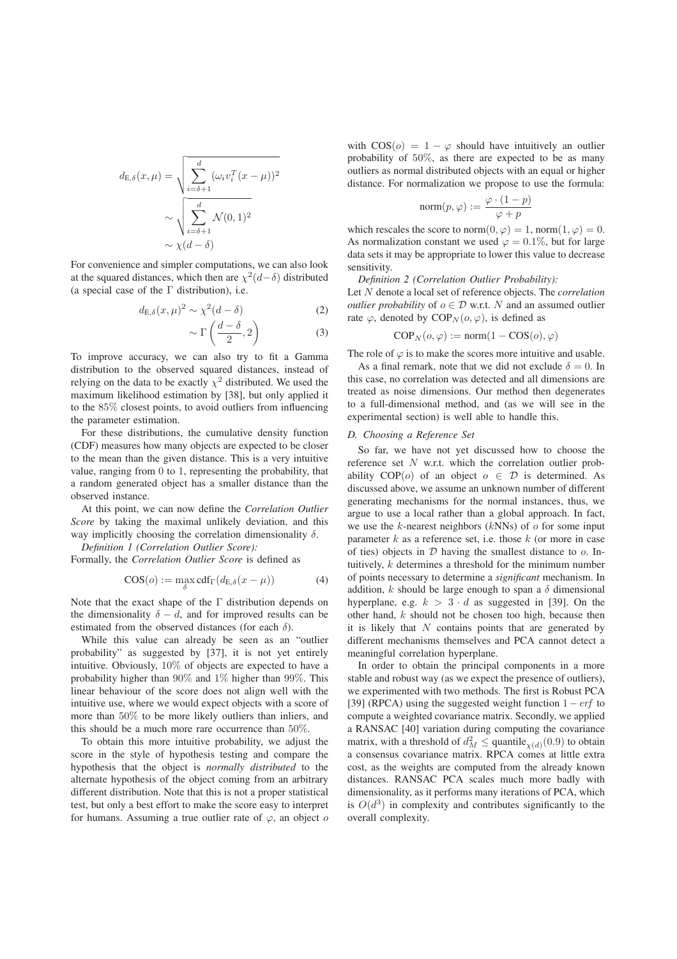$$
d_{\mathrm{E},\delta}(x,\mu) = \sqrt{\sum_{i=\delta+1}^{d} (\omega_i v_i^T (x - \mu))^2}
$$

$$
\sim \sqrt{\sum_{i=\delta+1}^{d} \mathcal{N}(0,1)^2}
$$

$$
\sim \chi(d-\delta)
$$

For convenience and simpler computations, we can also look at the squared distances, which then are  $\chi^2(d-\delta)$  distributed (a special case of the  $\Gamma$  distribution), i.e.

$$
d_{\mathrm{E},\delta}(x,\mu)^2 \sim \chi^2(d-\delta) \tag{2}
$$

$$
\sim \Gamma\left(\frac{d-\delta}{2}, 2\right) \tag{3}
$$

To improve accuracy, we can also try to fit a Gamma distribution to the observed squared distances, instead of relying on the data to be exactly  $\chi^2$  distributed. We used the maximum likelihood estimation by [38], but only applied it to the 85% closest points, to avoid outliers from influencing the parameter estimation.

For these distributions, the cumulative density function (CDF) measures how many objects are expected to be closer to the mean than the given distance. This is a very intuitive value, ranging from 0 to 1, representing the probability, that a random generated object has a smaller distance than the observed instance.

At this point, we can now define the *Correlation Outlier Score* by taking the maximal unlikely deviation, and this way implicitly choosing the correlation dimensionality  $\delta$ .

*Definition 1 (Correlation Outlier Score):*

Formally, the *Correlation Outlier Score* is defined as

$$
COS(o) := \max_{\delta} \text{cdf}_{\Gamma}(d_{\text{E},\delta}(x-\mu))
$$
 (4)

Note that the exact shape of the Γ distribution depends on the dimensionality  $\delta - d$ , and for improved results can be estimated from the observed distances (for each  $\delta$ ).

While this value can already be seen as an "outlier probability" as suggested by [37], it is not yet entirely intuitive. Obviously, 10% of objects are expected to have a probability higher than 90% and 1% higher than 99%. This linear behaviour of the score does not align well with the intuitive use, where we would expect objects with a score of more than 50% to be more likely outliers than inliers, and this should be a much more rare occurrence than 50%.

To obtain this more intuitive probability, we adjust the score in the style of hypothesis testing and compare the hypothesis that the object is *normally distributed* to the alternate hypothesis of the object coming from an arbitrary different distribution. Note that this is not a proper statistical test, but only a best effort to make the score easy to interpret for humans. Assuming a true outlier rate of  $\varphi$ , an object o with  $\cos(\theta) = 1 - \varphi$  should have intuitively an outlier probability of 50%, as there are expected to be as many outliers as normal distributed objects with an equal or higher distance. For normalization we propose to use the formula:

$$
\text{norm}(p, \varphi) := \frac{\varphi \cdot (1 - p)}{\varphi + p}
$$

which rescales the score to norm $(0, \varphi) = 1$ , norm $(1, \varphi) = 0$ .<br>As pormalization constant we used  $\varphi = 0.1\%$  but for large As normalization constant we used  $\varphi = 0.1\%$ , but for large data sets it may be appropriate to lower this value to decrease sensitivity.

*Definition 2 (Correlation Outlier Probability):*

Let N denote a local set of reference objects. The *correlation outlier probability* of  $o \in \mathcal{D}$  w.r.t. N and an assumed outlier rate  $\varphi$ , denoted by COP<sub>N</sub>( $o, \varphi$ ), is defined as

$$
\text{COP}_N(o, \varphi) := \text{norm}(1 - \text{COS}(o), \varphi)
$$

The role of  $\varphi$  is to make the scores more intuitive and usable.

As a final remark, note that we did not exclude  $\delta = 0$ . In this case, no correlation was detected and all dimensions are treated as noise dimensions. Our method then degenerates to a full-dimensional method, and (as we will see in the experimental section) is well able to handle this.

#### *D. Choosing a Reference Set*

So far, we have not yet discussed how to choose the reference set  $N$  w.r.t. which the correlation outlier probability  $COP(o)$  of an object  $o \in \mathcal{D}$  is determined. As discussed above, we assume an unknown number of different generating mechanisms for the normal instances, thus, we argue to use a local rather than a global approach. In fact, we use the  $k$ -nearest neighbors ( $k$ NNs) of  $\sigma$  for some input parameter  $k$  as a reference set, i.e. those  $k$  (or more in case of ties) objects in  $D$  having the smallest distance to  $o$ . Intuitively, k determines a threshold for the minimum number of points necessary to determine a *significant* mechanism. In addition,  $k$  should be large enough to span a  $\delta$  dimensional hyperplane, e.g.  $k > 3 \cdot d$  as suggested in [39]. On the other hand, k should not be chosen too high, because then it is likely that  $N$  contains points that are generated by different mechanisms themselves and PCA cannot detect a meaningful correlation hyperplane.

In order to obtain the principal components in a more stable and robust way (as we expect the presence of outliers), we experimented with two methods. The first is Robust PCA [39] (RPCA) using the suggested weight function  $1-erf$  to compute a weighted covariance matrix. Secondly, we applied a RANSAC [40] variation during computing the covariance matrix, with a threshold of  $d_M^2 \le$  quantile  $\chi(d)(0.9)$  to obtain a consensus covariance matrix. RPCA comes at little extra cost, as the weights are computed from the already known distances. RANSAC PCA scales much more badly with dimensionality, as it performs many iterations of PCA, which is  $O(d^3)$  in complexity and contributes significantly to the overall complexity.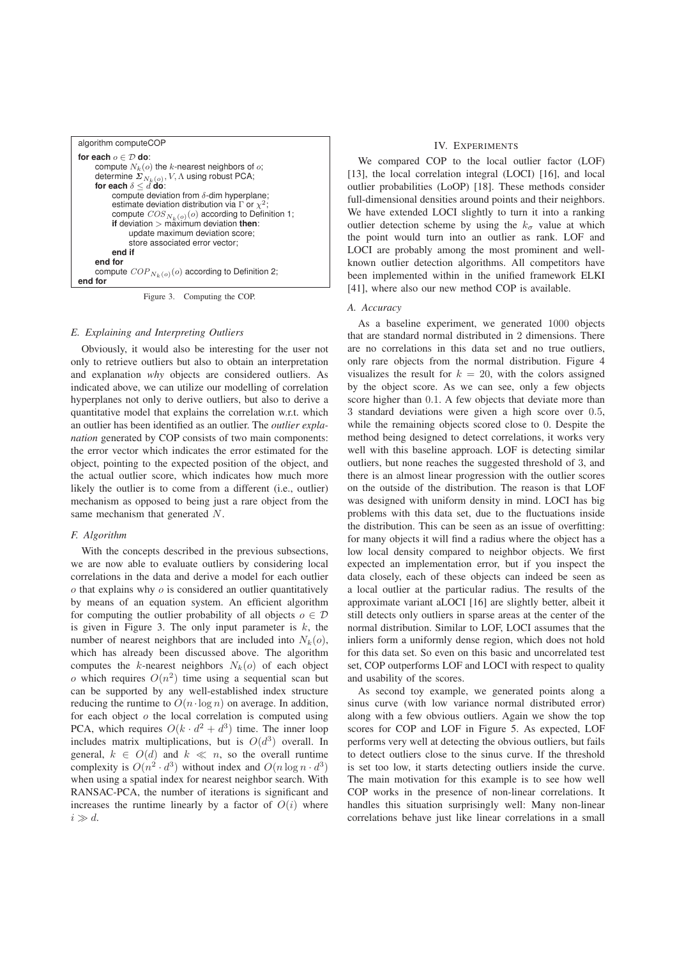| algorithm computeCOP                                                                                                                                                                                                                                                                          |
|-----------------------------------------------------------------------------------------------------------------------------------------------------------------------------------------------------------------------------------------------------------------------------------------------|
| for each $o \in \mathcal{D}$ do:<br>compute $N_k(o)$ the k-nearest neighbors of o;<br>determine $\Sigma_{N_k(o)}, V, \Lambda$ using robust PCA;<br>for each $\delta \leq d$ do:                                                                                                               |
| compute deviation from $\delta$ -dim hyperplane;<br>estimate deviation distribution via $\Gamma$ or $\chi^2$ ;<br>compute $COS_{N_k(o)}(o)$ according to Definition 1;<br>if deviation > maximum deviation <b>then</b> :<br>update maximum deviation score;<br>store associated error vector: |
| end if<br>end for<br>compute $COP_{N_k(o)}(o)$ according to Definition 2;<br>end for                                                                                                                                                                                                          |
|                                                                                                                                                                                                                                                                                               |
|                                                                                                                                                                                                                                                                                               |

Figure 3. Computing the COP.

### *E. Explaining and Interpreting Outliers*

Obviously, it would also be interesting for the user not only to retrieve outliers but also to obtain an interpretation and explanation *why* objects are considered outliers. As indicated above, we can utilize our modelling of correlation hyperplanes not only to derive outliers, but also to derive a quantitative model that explains the correlation w.r.t. which an outlier has been identified as an outlier. The *outlier explanation* generated by COP consists of two main components: the error vector which indicates the error estimated for the object, pointing to the expected position of the object, and the actual outlier score, which indicates how much more likely the outlier is to come from a different (i.e., outlier) mechanism as opposed to being just a rare object from the same mechanism that generated N.

#### *F. Algorithm*

With the concepts described in the previous subsections, we are now able to evaluate outliers by considering local correlations in the data and derive a model for each outlier  $\sigma$  that explains why  $\sigma$  is considered an outlier quantitatively by means of an equation system. An efficient algorithm for computing the outlier probability of all objects  $o \in \mathcal{D}$ is given in Figure 3. The only input parameter is  $k$ , the number of nearest neighbors that are included into  $N_k(o)$ , which has already been discussed above. The algorithm computes the k-nearest neighbors  $N_k(o)$  of each object o which requires  $O(n^2)$  time using a sequential scan but can be supported by any well-established index structure reducing the runtime to  $O(n \cdot \log n)$  on average. In addition, for each object  $o$  the local correlation is computed using PCA, which requires  $O(k \cdot d^2 + d^3)$  time. The inner loop includes matrix multiplications, but is  $O(d^3)$  overall. In general,  $k \in O(d)$  and  $k \ll n$ , so the overall runtime complexity is  $O(n^2 \cdot d^3)$  without index and  $O(n \log n \cdot d^3)$ when using a spatial index for nearest neighbor search. With RANSAC-PCA, the number of iterations is significant and increases the runtime linearly by a factor of  $O(i)$  where  $i \gg d$ .

## IV. EXPERIMENTS

We compared COP to the local outlier factor (LOF) [13], the local correlation integral (LOCI) [16], and local outlier probabilities (LoOP) [18]. These methods consider full-dimensional densities around points and their neighbors. We have extended LOCI slightly to turn it into a ranking outlier detection scheme by using the  $k_{\sigma}$  value at which the point would turn into an outlier as rank. LOF and LOCI are probably among the most prominent and wellknown outlier detection algorithms. All competitors have been implemented within in the unified framework ELKI [41], where also our new method COP is available.

### *A. Accuracy*

As a baseline experiment, we generated 1000 objects that are standard normal distributed in 2 dimensions. There are no correlations in this data set and no true outliers, only rare objects from the normal distribution. Figure 4 visualizes the result for  $k = 20$ , with the colors assigned by the object score. As we can see, only a few objects score higher than 0.1. A few objects that deviate more than 3 standard deviations were given a high score over 0.5, while the remaining objects scored close to 0. Despite the method being designed to detect correlations, it works very well with this baseline approach. LOF is detecting similar outliers, but none reaches the suggested threshold of 3, and there is an almost linear progression with the outlier scores on the outside of the distribution. The reason is that LOF was designed with uniform density in mind. LOCI has big problems with this data set, due to the fluctuations inside the distribution. This can be seen as an issue of overfitting: for many objects it will find a radius where the object has a low local density compared to neighbor objects. We first expected an implementation error, but if you inspect the data closely, each of these objects can indeed be seen as a local outlier at the particular radius. The results of the approximate variant aLOCI [16] are slightly better, albeit it still detects only outliers in sparse areas at the center of the normal distribution. Similar to LOF, LOCI assumes that the inliers form a uniformly dense region, which does not hold for this data set. So even on this basic and uncorrelated test set, COP outperforms LOF and LOCI with respect to quality and usability of the scores.

As second toy example, we generated points along a sinus curve (with low variance normal distributed error) along with a few obvious outliers. Again we show the top scores for COP and LOF in Figure 5. As expected, LOF performs very well at detecting the obvious outliers, but fails to detect outliers close to the sinus curve. If the threshold is set too low, it starts detecting outliers inside the curve. The main motivation for this example is to see how well COP works in the presence of non-linear correlations. It handles this situation surprisingly well: Many non-linear correlations behave just like linear correlations in a small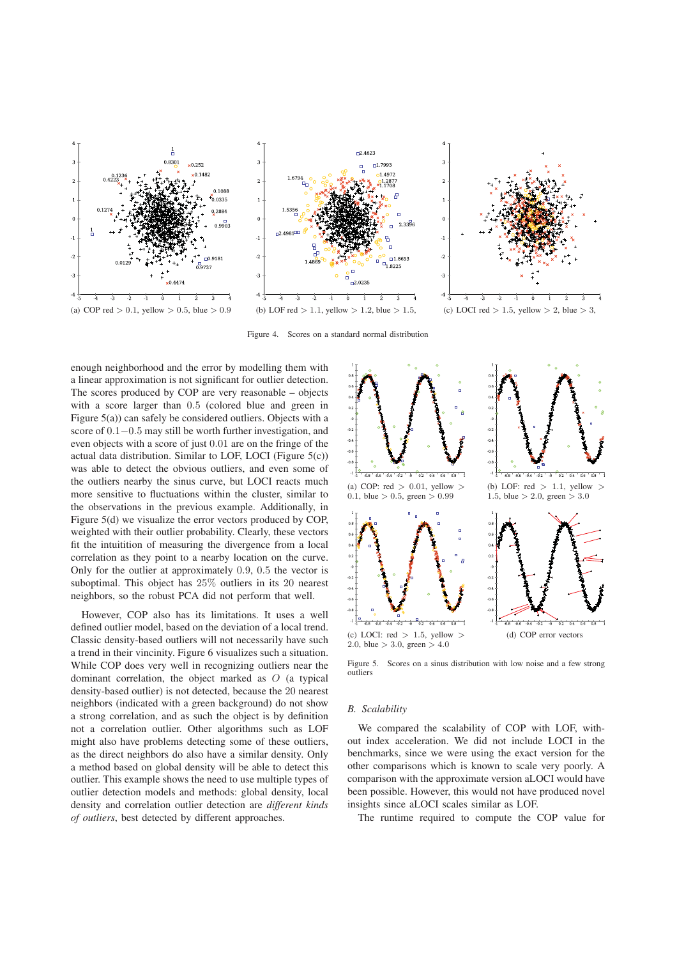





Figure 4. Scores on a standard normal distribution

enough neighborhood and the error by modelling them with a linear approximation is not significant for outlier detection. The scores produced by COP are very reasonable – objects with a score larger than 0.5 (colored blue and green in Figure 5(a)) can safely be considered outliers. Objects with a score of  $0.1-0.5$  may still be worth further investigation, and even objects with a score of just 0.01 are on the fringe of the actual data distribution. Similar to LOF, LOCI (Figure 5(c)) was able to detect the obvious outliers, and even some of the outliers nearby the sinus curve, but LOCI reacts much more sensitive to fluctuations within the cluster, similar to the observations in the previous example. Additionally, in Figure 5(d) we visualize the error vectors produced by COP, weighted with their outlier probability. Clearly, these vectors fit the intuitition of measuring the divergence from a local correlation as they point to a nearby location on the curve. Only for the outlier at approximately 0.9, 0.5 the vector is suboptimal. This object has 25% outliers in its 20 nearest neighbors, so the robust PCA did not perform that well.

However, COP also has its limitations. It uses a well defined outlier model, based on the deviation of a local trend. Classic density-based outliers will not necessarily have such a trend in their vincinity. Figure 6 visualizes such a situation. While COP does very well in recognizing outliers near the dominant correlation, the object marked as O (a typical density-based outlier) is not detected, because the 20 nearest neighbors (indicated with a green background) do not show a strong correlation, and as such the object is by definition not a correlation outlier. Other algorithms such as LOF might also have problems detecting some of these outliers, as the direct neighbors do also have a similar density. Only a method based on global density will be able to detect this outlier. This example shows the need to use multiple types of outlier detection models and methods: global density, local density and correlation outlier detection are *different kinds of outliers*, best detected by different approaches.



Figure 5. Scores on a sinus distribution with low noise and a few strong outliers

#### *B. Scalability*

We compared the scalability of COP with LOF, without index acceleration. We did not include LOCI in the benchmarks, since we were using the exact version for the other comparisons which is known to scale very poorly. A comparison with the approximate version aLOCI would have been possible. However, this would not have produced novel insights since aLOCI scales similar as LOF.

The runtime required to compute the COP value for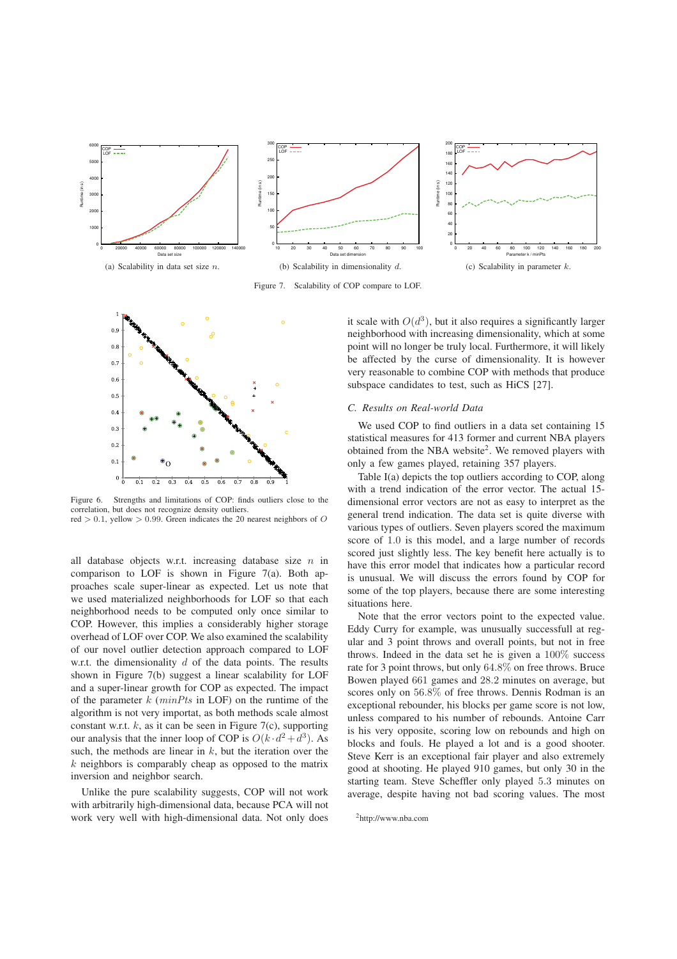

Figure 7. Scalability of COP compare to LOF.



Figure 6. Strengths and limitations of COP: finds outliers close to the correlation, but does not recognize density outliers. red  $> 0.1$ , vellow  $> 0.99$ . Green indicates the 20 nearest neighbors of O

all database objects w.r.t. increasing database size  $n$  in comparison to LOF is shown in Figure  $7(a)$ . Both approaches scale super-linear as expected. Let us note that we used materialized neighborhoods for LOF so that each neighborhood needs to be computed only once similar to COP. However, this implies a considerably higher storage overhead of LOF over COP. We also examined the scalability of our novel outlier detection approach compared to LOF w.r.t. the dimensionality  $d$  of the data points. The results shown in Figure 7(b) suggest a linear scalability for LOF and a super-linear growth for COP as expected. The impact of the parameter  $k$  ( $minPts$  in LOF) on the runtime of the algorithm is not very importat, as both methods scale almost constant w.r.t.  $k$ , as it can be seen in Figure 7(c), supporting our analysis that the inner loop of COP is  $O(k \cdot d^2 + d^3)$ . As such, the methods are linear in  $k$ , but the iteration over the  $k$  neighbors is comparably cheap as opposed to the matrix inversion and neighbor search.

Unlike the pure scalability suggests, COP will not work with arbitrarily high-dimensional data, because PCA will not work very well with high-dimensional data. Not only does

it scale with  $O(d^3)$ , but it also requires a significantly larger neighborhood with increasing dimensionality, which at some point will no longer be truly local. Furthermore, it will likely be affected by the curse of dimensionality. It is however very reasonable to combine COP with methods that produce subspace candidates to test, such as HiCS [27].

#### *C. Results on Real-world Data*

We used COP to find outliers in a data set containing 15 statistical measures for 413 former and current NBA players obtained from the NBA website<sup>2</sup>. We removed players with only a few games played, retaining 357 players.

Table I(a) depicts the top outliers according to COP, along with a trend indication of the error vector. The actual 15 dimensional error vectors are not as easy to interpret as the general trend indication. The data set is quite diverse with various types of outliers. Seven players scored the maximum score of 1.0 is this model, and a large number of records scored just slightly less. The key benefit here actually is to have this error model that indicates how a particular record is unusual. We will discuss the errors found by COP for some of the top players, because there are some interesting situations here.

Note that the error vectors point to the expected value. Eddy Curry for example, was unusually successfull at regular and 3 point throws and overall points, but not in free throws. Indeed in the data set he is given a 100% success rate for 3 point throws, but only 64.8% on free throws. Bruce Bowen played 661 games and 28.2 minutes on average, but scores only on 56.8% of free throws. Dennis Rodman is an exceptional rebounder, his blocks per game score is not low, unless compared to his number of rebounds. Antoine Carr is his very opposite, scoring low on rebounds and high on blocks and fouls. He played a lot and is a good shooter. Steve Kerr is an exceptional fair player and also extremely good at shooting. He played 910 games, but only 30 in the starting team. Steve Scheffler only played 5.3 minutes on average, despite having not bad scoring values. The most

2http://www.nba.com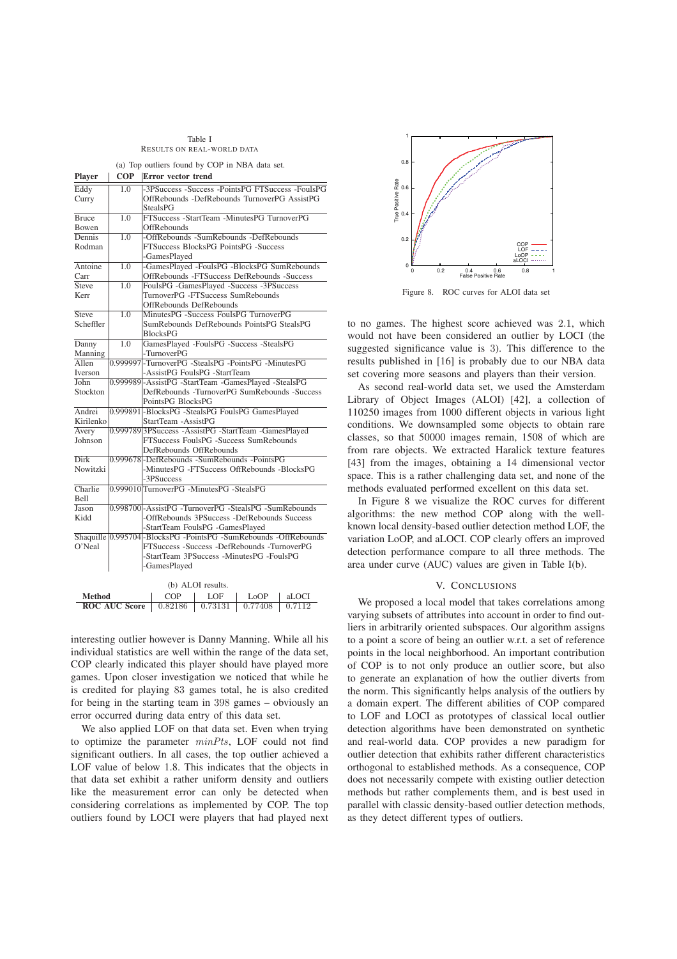Table I RESULTS ON REAL-WORLD DATA

|  |  | (a) Top outliers found by COP in NBA data set. |  |  |  |  |  |  |  |
|--|--|------------------------------------------------|--|--|--|--|--|--|--|
|--|--|------------------------------------------------|--|--|--|--|--|--|--|

| <b>Player</b>                                            | <b>COP</b>                                                                                            | Error vector trend                                      |                                             |                   |                                      |        |  |  |  |
|----------------------------------------------------------|-------------------------------------------------------------------------------------------------------|---------------------------------------------------------|---------------------------------------------|-------------------|--------------------------------------|--------|--|--|--|
| Eddy                                                     | 1.0                                                                                                   | -3PSuccess -Success -PointsPG FTSuccess -FoulsPG        |                                             |                   |                                      |        |  |  |  |
| Curry                                                    |                                                                                                       | OffRebounds -DefRebounds TurnoverPG AssistPG            |                                             |                   |                                      |        |  |  |  |
|                                                          |                                                                                                       |                                                         | <b>StealsPG</b>                             |                   |                                      |        |  |  |  |
| <b>Bruce</b>                                             | 1.0                                                                                                   |                                                         | FTSuccess -StartTeam -MinutesPG TurnoverPG  |                   |                                      |        |  |  |  |
| Bowen                                                    |                                                                                                       |                                                         | OffRebounds                                 |                   |                                      |        |  |  |  |
| Dennis                                                   | 1.0                                                                                                   |                                                         | -OffRebounds -SumRebounds -DefRebounds      |                   |                                      |        |  |  |  |
| Rodman                                                   |                                                                                                       |                                                         |                                             |                   | FTSuccess BlocksPG PointsPG -Success |        |  |  |  |
|                                                          |                                                                                                       |                                                         | -GamesPlayed                                |                   |                                      |        |  |  |  |
| Antoine                                                  | 1.0                                                                                                   |                                                         | -GamesPlayed -FoulsPG -BlocksPG SumRebounds |                   |                                      |        |  |  |  |
| Carr                                                     |                                                                                                       |                                                         | OffRebounds -FTSuccess DefRebounds -Success |                   |                                      |        |  |  |  |
| <b>Steve</b>                                             | 1.0                                                                                                   |                                                         | FoulsPG -GamesPlayed -Success -3PSuccess    |                   |                                      |        |  |  |  |
| Kerr                                                     |                                                                                                       |                                                         | TurnoverPG -FTSuccess SumRebounds           |                   |                                      |        |  |  |  |
|                                                          |                                                                                                       |                                                         | OffRebounds DefRebounds                     |                   |                                      |        |  |  |  |
| Steve                                                    | 1.0                                                                                                   |                                                         | MinutesPG -Success FoulsPG TurnoverPG       |                   |                                      |        |  |  |  |
| Scheffler                                                |                                                                                                       |                                                         | SumRebounds DefRebounds PointsPG StealsPG   |                   |                                      |        |  |  |  |
|                                                          |                                                                                                       |                                                         | <b>BlocksPG</b>                             |                   |                                      |        |  |  |  |
| Danny                                                    | 1.0                                                                                                   |                                                         | GamesPlayed -FoulsPG -Success -StealsPG     |                   |                                      |        |  |  |  |
| Manning                                                  |                                                                                                       |                                                         | -TurnoverPG                                 |                   |                                      |        |  |  |  |
| Allen                                                    |                                                                                                       | 0.999997-TurnoverPG -StealsPG -PointsPG -MinutesPG      |                                             |                   |                                      |        |  |  |  |
| Iverson                                                  |                                                                                                       |                                                         | -AssistPG FoulsPG -StartTeam                |                   |                                      |        |  |  |  |
| John                                                     | 0.999989-AssistPG -StartTeam -GamesPlayed -StealsPG                                                   |                                                         |                                             |                   |                                      |        |  |  |  |
| DefRebounds -TurnoverPG SumRebounds -Success<br>Stockton |                                                                                                       |                                                         |                                             |                   |                                      |        |  |  |  |
|                                                          |                                                                                                       |                                                         | PointsPG BlocksPG                           |                   |                                      |        |  |  |  |
| Andrei                                                   | 0.999891-BlocksPG -StealsPG FoulsPG GamesPlayed                                                       |                                                         |                                             |                   |                                      |        |  |  |  |
| Kirilenko                                                |                                                                                                       | StartTeam -AssistPG                                     |                                             |                   |                                      |        |  |  |  |
| Avery                                                    |                                                                                                       | 0.999789 3PSuccess - AssistPG - StartTeam - GamesPlayed |                                             |                   |                                      |        |  |  |  |
| FTSuccess FoulsPG -Success SumRebounds<br>Johnson        |                                                                                                       |                                                         |                                             |                   |                                      |        |  |  |  |
|                                                          |                                                                                                       |                                                         | DefRebounds OffRebounds                     |                   |                                      |        |  |  |  |
| <b>Dirk</b>                                              |                                                                                                       | 0.999678-DefRebounds -SumRebounds -PointsPG             |                                             |                   |                                      |        |  |  |  |
| Nowitzki<br>-MinutesPG -FTSuccess OffRebounds -BlocksPG  |                                                                                                       |                                                         |                                             |                   |                                      |        |  |  |  |
|                                                          |                                                                                                       |                                                         | -3PSuccess                                  |                   |                                      |        |  |  |  |
| Charlie<br>Bell                                          |                                                                                                       |                                                         | 0.999010 TurnoverPG - MinutesPG - StealsPG  |                   |                                      |        |  |  |  |
| Jason                                                    |                                                                                                       | 0.998700-AssistPG -TurnoverPG -StealsPG -SumRebounds    |                                             |                   |                                      |        |  |  |  |
| Kidd                                                     |                                                                                                       | -OffRebounds 3PSuccess -DefRebounds Success             |                                             |                   |                                      |        |  |  |  |
|                                                          |                                                                                                       |                                                         |                                             |                   |                                      |        |  |  |  |
|                                                          | -StartTeam FoulsPG -GamesPlayed<br>Shaquille 0.995704 BlocksPG - PointsPG - SumRebounds - OffRebounds |                                                         |                                             |                   |                                      |        |  |  |  |
| O'Neal                                                   |                                                                                                       | FTSuccess -Success -DefRebounds -TurnoverPG             |                                             |                   |                                      |        |  |  |  |
| -StartTeam 3PSuccess -MinutesPG -FoulsPG                 |                                                                                                       |                                                         |                                             |                   |                                      |        |  |  |  |
| -GamesPlayed                                             |                                                                                                       |                                                         |                                             |                   |                                      |        |  |  |  |
|                                                          |                                                                                                       |                                                         |                                             |                   |                                      |        |  |  |  |
|                                                          |                                                                                                       |                                                         |                                             | (b) ALOI results. |                                      |        |  |  |  |
| Method                                                   |                                                                                                       |                                                         | COP                                         | LOF               | LoOP                                 | aLOCI  |  |  |  |
| <b>ROC AUC Score</b>                                     |                                                                                                       |                                                         | 0.82186                                     | 0.73131           | 0.77408                              | 0.7112 |  |  |  |

interesting outlier however is Danny Manning. While all his individual statistics are well within the range of the data set, COP clearly indicated this player should have played more games. Upon closer investigation we noticed that while he is credited for playing 83 games total, he is also credited for being in the starting team in 398 games – obviously an error occurred during data entry of this data set.

We also applied LOF on that data set. Even when trying to optimize the parameter  $minPts$ , LOF could not find significant outliers. In all cases, the top outlier achieved a LOF value of below 1.8. This indicates that the objects in that data set exhibit a rather uniform density and outliers like the measurement error can only be detected when considering correlations as implemented by COP. The top outliers found by LOCI were players that had played next



Figure 8. ROC curves for ALOI data set

to no games. The highest score achieved was 2.1, which would not have been considered an outlier by LOCI (the suggested significance value is 3). This difference to the results published in [16] is probably due to our NBA data set covering more seasons and players than their version.

As second real-world data set, we used the Amsterdam Library of Object Images (ALOI) [42], a collection of 110250 images from 1000 different objects in various light conditions. We downsampled some objects to obtain rare classes, so that 50000 images remain, 1508 of which are from rare objects. We extracted Haralick texture features [43] from the images, obtaining a 14 dimensional vector space. This is a rather challenging data set, and none of the methods evaluated performed excellent on this data set.

In Figure 8 we visualize the ROC curves for different algorithms: the new method COP along with the wellknown local density-based outlier detection method LOF, the variation LoOP, and aLOCI. COP clearly offers an improved detection performance compare to all three methods. The area under curve (AUC) values are given in Table I(b).

### V. CONCLUSIONS

We proposed a local model that takes correlations among varying subsets of attributes into account in order to find outliers in arbitrarily oriented subspaces. Our algorithm assigns to a point a score of being an outlier w.r.t. a set of reference points in the local neighborhood. An important contribution of COP is to not only produce an outlier score, but also to generate an explanation of how the outlier diverts from the norm. This significantly helps analysis of the outliers by a domain expert. The different abilities of COP compared to LOF and LOCI as prototypes of classical local outlier detection algorithms have been demonstrated on synthetic and real-world data. COP provides a new paradigm for outlier detection that exhibits rather different characteristics orthogonal to established methods. As a consequence, COP does not necessarily compete with existing outlier detection methods but rather complements them, and is best used in parallel with classic density-based outlier detection methods, as they detect different types of outliers.